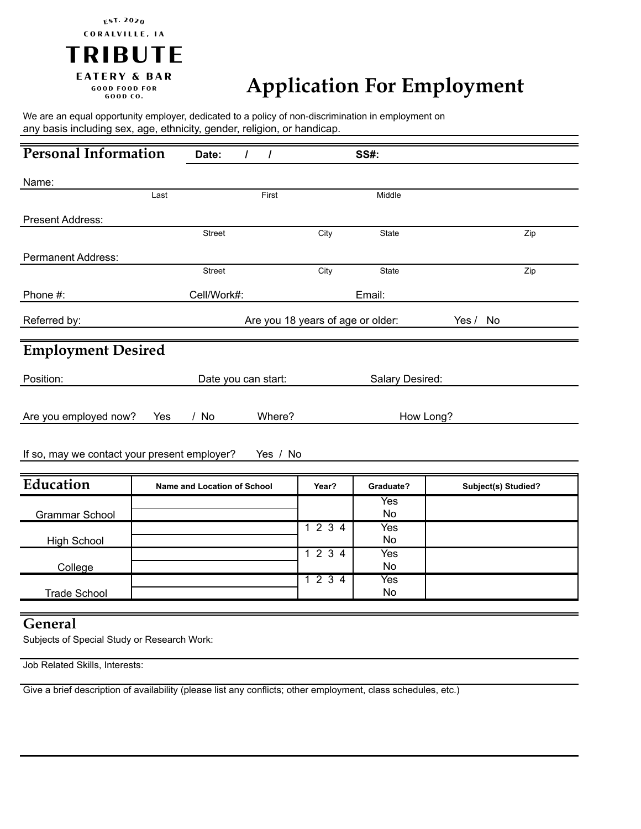## CORALVILLE, IA **TRIBUTE EATERY & BAR GOOD FOOD FOR**

**EST. 2020** 

GOOD CO.

## **Application For Employment**

We are an equal opportunity employer, dedicated to a policy of non-discrimination in employment on any basis including sex, age, ethnicity, gender, religion, or handicap.

| <b>Personal Information</b>                              | Date:<br>$\prime$           | $\prime$                          | <b>SS#:</b>     |                     |
|----------------------------------------------------------|-----------------------------|-----------------------------------|-----------------|---------------------|
| Name:                                                    |                             |                                   |                 |                     |
| Last                                                     |                             | First                             | Middle          |                     |
| Present Address:                                         |                             |                                   |                 |                     |
|                                                          | <b>Street</b>               | City                              | State           | Zip                 |
| <b>Permanent Address:</b>                                |                             |                                   |                 |                     |
|                                                          | <b>Street</b>               | City                              | State           | Zip                 |
| Phone #:                                                 | Cell/Work#:                 |                                   | Email:          |                     |
| Referred by:                                             |                             | Are you 18 years of age or older: |                 | Yes /<br>No         |
|                                                          |                             |                                   |                 |                     |
| <b>Employment Desired</b>                                |                             |                                   |                 |                     |
| Position:                                                | Date you can start:         |                                   | Salary Desired: |                     |
|                                                          |                             |                                   |                 |                     |
| Are you employed now?                                    | / No<br>Yes                 | Where?                            | How Long?       |                     |
|                                                          |                             |                                   |                 |                     |
| If so, may we contact your present employer?<br>Yes / No |                             |                                   |                 |                     |
|                                                          |                             |                                   |                 |                     |
| Education                                                | Name and Location of School | Year?                             | Graduate?       | Subject(s) Studied? |
|                                                          |                             |                                   | Yes<br>No       |                     |
| <b>Grammar School</b>                                    |                             | 1234                              | Yes             |                     |
| <b>High School</b>                                       |                             |                                   | No              |                     |
|                                                          |                             | 1234                              | Yes             |                     |
| College                                                  |                             |                                   | <b>No</b>       |                     |
| <b>Trade School</b>                                      |                             | 1234                              | Yes<br>No       |                     |
|                                                          |                             |                                   |                 |                     |

## **General**

Subjects of Special Study or Research Work:

Job Related Skills, Interests:

Give a brief description of availability (please list any conflicts; other employment, class schedules, etc.)